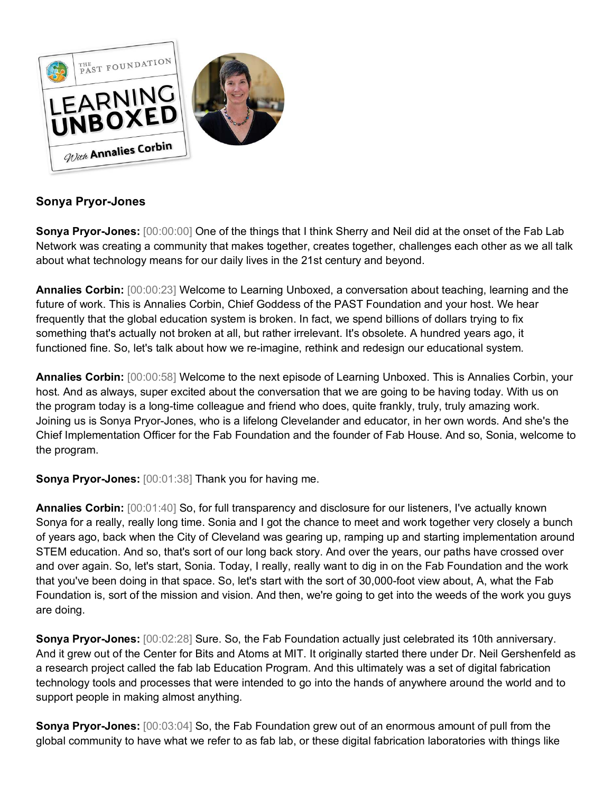

## **Sonya Pryor-Jones**

**Sonya Pryor-Jones:** [00:00:00] One of the things that I think Sherry and Neil did at the onset of the Fab Lab Network was creating a community that makes together, creates together, challenges each other as we all talk about what technology means for our daily lives in the 21st century and beyond.

**Annalies Corbin:** [00:00:23] Welcome to Learning Unboxed, a conversation about teaching, learning and the future of work. This is Annalies Corbin, Chief Goddess of the PAST Foundation and your host. We hear frequently that the global education system is broken. In fact, we spend billions of dollars trying to fix something that's actually not broken at all, but rather irrelevant. It's obsolete. A hundred years ago, it functioned fine. So, let's talk about how we re-imagine, rethink and redesign our educational system.

**Annalies Corbin:** [00:00:58] Welcome to the next episode of Learning Unboxed. This is Annalies Corbin, your host. And as always, super excited about the conversation that we are going to be having today. With us on the program today is a long-time colleague and friend who does, quite frankly, truly, truly amazing work. Joining us is Sonya Pryor-Jones, who is a lifelong Clevelander and educator, in her own words. And she's the Chief Implementation Officer for the Fab Foundation and the founder of Fab House. And so, Sonia, welcome to the program.

**Sonya Pryor-Jones:** [00:01:38] Thank you for having me.

**Annalies Corbin:** [00:01:40] So, for full transparency and disclosure for our listeners, I've actually known Sonya for a really, really long time. Sonia and I got the chance to meet and work together very closely a bunch of years ago, back when the City of Cleveland was gearing up, ramping up and starting implementation around STEM education. And so, that's sort of our long back story. And over the years, our paths have crossed over and over again. So, let's start, Sonia. Today, I really, really want to dig in on the Fab Foundation and the work that you've been doing in that space. So, let's start with the sort of 30,000-foot view about, A, what the Fab Foundation is, sort of the mission and vision. And then, we're going to get into the weeds of the work you guys are doing.

**Sonya Pryor-Jones:** [00:02:28] Sure. So, the Fab Foundation actually just celebrated its 10th anniversary. And it grew out of the Center for Bits and Atoms at MIT. It originally started there under Dr. Neil Gershenfeld as a research project called the fab lab Education Program. And this ultimately was a set of digital fabrication technology tools and processes that were intended to go into the hands of anywhere around the world and to support people in making almost anything.

**Sonya Pryor-Jones:** [00:03:04] So, the Fab Foundation grew out of an enormous amount of pull from the global community to have what we refer to as fab lab, or these digital fabrication laboratories with things like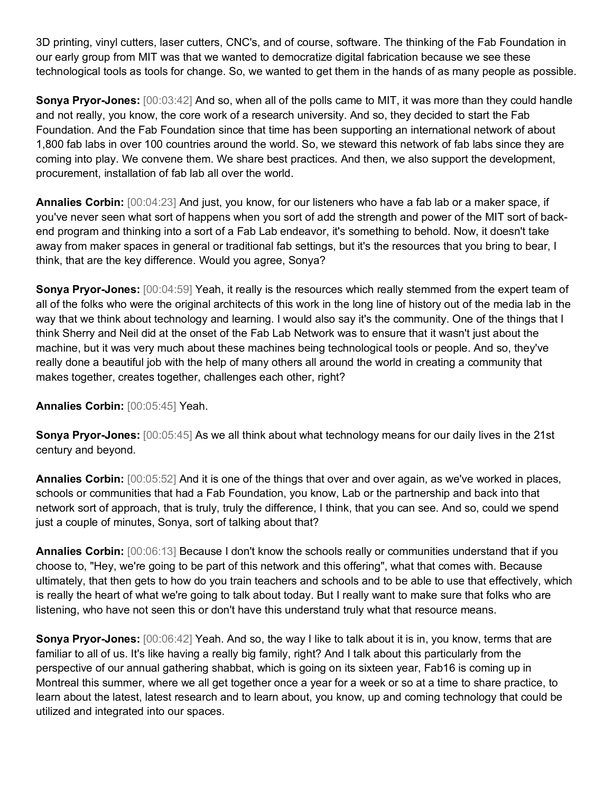3D printing, vinyl cutters, laser cutters, CNC's, and of course, software. The thinking of the Fab Foundation in our early group from MIT was that we wanted to democratize digital fabrication because we see these technological tools as tools for change. So, we wanted to get them in the hands of as many people as possible.

**Sonya Pryor-Jones:** [00:03:42] And so, when all of the polls came to MIT, it was more than they could handle and not really, you know, the core work of a research university. And so, they decided to start the Fab Foundation. And the Fab Foundation since that time has been supporting an international network of about 1,800 fab labs in over 100 countries around the world. So, we steward this network of fab labs since they are coming into play. We convene them. We share best practices. And then, we also support the development, procurement, installation of fab lab all over the world.

**Annalies Corbin:** [00:04:23] And just, you know, for our listeners who have a fab lab or a maker space, if you've never seen what sort of happens when you sort of add the strength and power of the MIT sort of backend program and thinking into a sort of a Fab Lab endeavor, it's something to behold. Now, it doesn't take away from maker spaces in general or traditional fab settings, but it's the resources that you bring to bear, I think, that are the key difference. Would you agree, Sonya?

**Sonya Pryor-Jones:** [00:04:59] Yeah, it really is the resources which really stemmed from the expert team of all of the folks who were the original architects of this work in the long line of history out of the media lab in the way that we think about technology and learning. I would also say it's the community. One of the things that I think Sherry and Neil did at the onset of the Fab Lab Network was to ensure that it wasn't just about the machine, but it was very much about these machines being technological tools or people. And so, they've really done a beautiful job with the help of many others all around the world in creating a community that makes together, creates together, challenges each other, right?

**Annalies Corbin:** [00:05:45] Yeah.

**Sonya Pryor-Jones:** [00:05:45] As we all think about what technology means for our daily lives in the 21st century and beyond.

**Annalies Corbin:** [00:05:52] And it is one of the things that over and over again, as we've worked in places, schools or communities that had a Fab Foundation, you know, Lab or the partnership and back into that network sort of approach, that is truly, truly the difference, I think, that you can see. And so, could we spend just a couple of minutes, Sonya, sort of talking about that?

**Annalies Corbin:** [00:06:13] Because I don't know the schools really or communities understand that if you choose to, "Hey, we're going to be part of this network and this offering", what that comes with. Because ultimately, that then gets to how do you train teachers and schools and to be able to use that effectively, which is really the heart of what we're going to talk about today. But I really want to make sure that folks who are listening, who have not seen this or don't have this understand truly what that resource means.

**Sonya Pryor-Jones:** [00:06:42] Yeah. And so, the way I like to talk about it is in, you know, terms that are familiar to all of us. It's like having a really big family, right? And I talk about this particularly from the perspective of our annual gathering shabbat, which is going on its sixteen year, Fab16 is coming up in Montreal this summer, where we all get together once a year for a week or so at a time to share practice, to learn about the latest, latest research and to learn about, you know, up and coming technology that could be utilized and integrated into our spaces.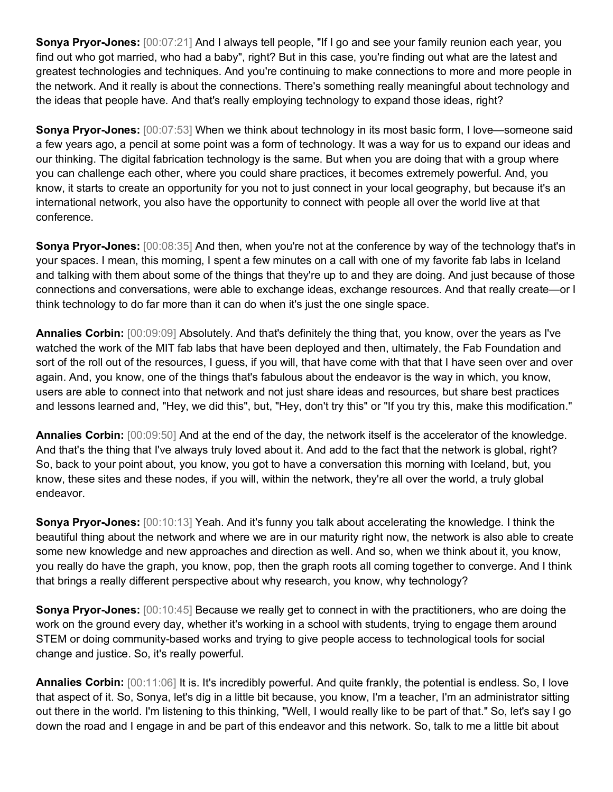**Sonya Pryor-Jones:** [00:07:21] And I always tell people, "If I go and see your family reunion each year, you find out who got married, who had a baby", right? But in this case, you're finding out what are the latest and greatest technologies and techniques. And you're continuing to make connections to more and more people in the network. And it really is about the connections. There's something really meaningful about technology and the ideas that people have. And that's really employing technology to expand those ideas, right?

**Sonya Pryor-Jones:** [00:07:53] When we think about technology in its most basic form, I love—someone said a few years ago, a pencil at some point was a form of technology. It was a way for us to expand our ideas and our thinking. The digital fabrication technology is the same. But when you are doing that with a group where you can challenge each other, where you could share practices, it becomes extremely powerful. And, you know, it starts to create an opportunity for you not to just connect in your local geography, but because it's an international network, you also have the opportunity to connect with people all over the world live at that conference.

**Sonya Pryor-Jones:**  $[00:08:35]$  And then, when you're not at the conference by way of the technology that's in your spaces. I mean, this morning, I spent a few minutes on a call with one of my favorite fab labs in Iceland and talking with them about some of the things that they're up to and they are doing. And just because of those connections and conversations, were able to exchange ideas, exchange resources. And that really create—or I think technology to do far more than it can do when it's just the one single space.

**Annalies Corbin:** [00:09:09] Absolutely. And that's definitely the thing that, you know, over the years as I've watched the work of the MIT fab labs that have been deployed and then, ultimately, the Fab Foundation and sort of the roll out of the resources, I guess, if you will, that have come with that that I have seen over and over again. And, you know, one of the things that's fabulous about the endeavor is the way in which, you know, users are able to connect into that network and not just share ideas and resources, but share best practices and lessons learned and, "Hey, we did this", but, "Hey, don't try this" or "If you try this, make this modification."

**Annalies Corbin:** [00:09:50] And at the end of the day, the network itself is the accelerator of the knowledge. And that's the thing that I've always truly loved about it. And add to the fact that the network is global, right? So, back to your point about, you know, you got to have a conversation this morning with Iceland, but, you know, these sites and these nodes, if you will, within the network, they're all over the world, a truly global endeavor.

**Sonya Pryor-Jones:** [00:10:13] Yeah. And it's funny you talk about accelerating the knowledge. I think the beautiful thing about the network and where we are in our maturity right now, the network is also able to create some new knowledge and new approaches and direction as well. And so, when we think about it, you know, you really do have the graph, you know, pop, then the graph roots all coming together to converge. And I think that brings a really different perspective about why research, you know, why technology?

**Sonya Pryor-Jones:** [00:10:45] Because we really get to connect in with the practitioners, who are doing the work on the ground every day, whether it's working in a school with students, trying to engage them around STEM or doing community-based works and trying to give people access to technological tools for social change and justice. So, it's really powerful.

**Annalies Corbin:** [00:11:06] It is. It's incredibly powerful. And quite frankly, the potential is endless. So, I love that aspect of it. So, Sonya, let's dig in a little bit because, you know, I'm a teacher, I'm an administrator sitting out there in the world. I'm listening to this thinking, "Well, I would really like to be part of that." So, let's say I go down the road and I engage in and be part of this endeavor and this network. So, talk to me a little bit about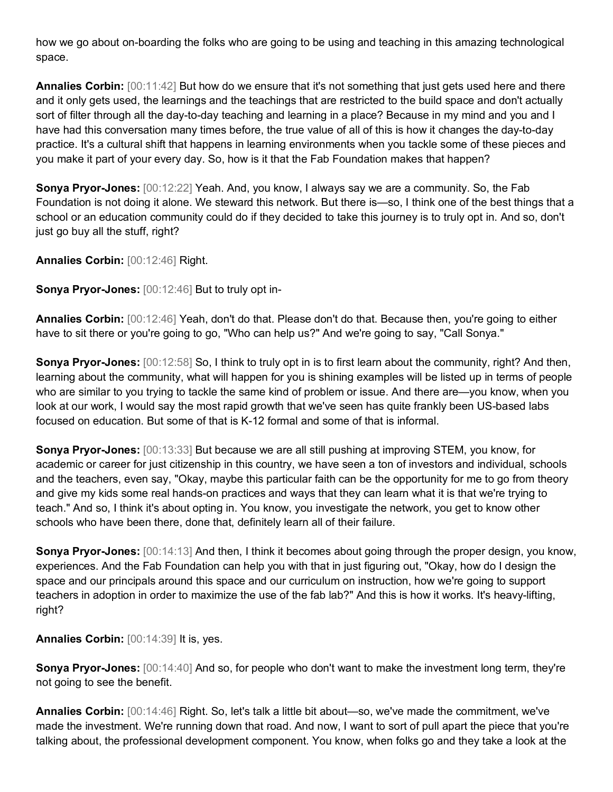how we go about on-boarding the folks who are going to be using and teaching in this amazing technological space.

**Annalies Corbin:** [00:11:42] But how do we ensure that it's not something that just gets used here and there and it only gets used, the learnings and the teachings that are restricted to the build space and don't actually sort of filter through all the day-to-day teaching and learning in a place? Because in my mind and you and I have had this conversation many times before, the true value of all of this is how it changes the day-to-day practice. It's a cultural shift that happens in learning environments when you tackle some of these pieces and you make it part of your every day. So, how is it that the Fab Foundation makes that happen?

**Sonya Pryor-Jones:** [00:12:22] Yeah. And, you know, I always say we are a community. So, the Fab Foundation is not doing it alone. We steward this network. But there is—so, I think one of the best things that a school or an education community could do if they decided to take this journey is to truly opt in. And so, don't just go buy all the stuff, right?

**Annalies Corbin:** [00:12:46] Right.

**Sonya Pryor-Jones:** [00:12:46] But to truly opt in-

**Annalies Corbin:** [00:12:46] Yeah, don't do that. Please don't do that. Because then, you're going to either have to sit there or you're going to go, "Who can help us?" And we're going to say, "Call Sonya."

**Sonya Pryor-Jones:** [00:12:58] So, I think to truly opt in is to first learn about the community, right? And then, learning about the community, what will happen for you is shining examples will be listed up in terms of people who are similar to you trying to tackle the same kind of problem or issue. And there are—you know, when you look at our work, I would say the most rapid growth that we've seen has quite frankly been US-based labs focused on education. But some of that is K-12 formal and some of that is informal.

**Sonya Pryor-Jones:** [00:13:33] But because we are all still pushing at improving STEM, you know, for academic or career for just citizenship in this country, we have seen a ton of investors and individual, schools and the teachers, even say, "Okay, maybe this particular faith can be the opportunity for me to go from theory and give my kids some real hands-on practices and ways that they can learn what it is that we're trying to teach." And so, I think it's about opting in. You know, you investigate the network, you get to know other schools who have been there, done that, definitely learn all of their failure.

**Sonya Pryor-Jones:** [00:14:13] And then, I think it becomes about going through the proper design, you know, experiences. And the Fab Foundation can help you with that in just figuring out, "Okay, how do I design the space and our principals around this space and our curriculum on instruction, how we're going to support teachers in adoption in order to maximize the use of the fab lab?" And this is how it works. It's heavy-lifting, right?

**Annalies Corbin:** [00:14:39] It is, yes.

**Sonya Pryor-Jones:** [00:14:40] And so, for people who don't want to make the investment long term, they're not going to see the benefit.

**Annalies Corbin:** [00:14:46] Right. So, let's talk a little bit about—so, we've made the commitment, we've made the investment. We're running down that road. And now, I want to sort of pull apart the piece that you're talking about, the professional development component. You know, when folks go and they take a look at the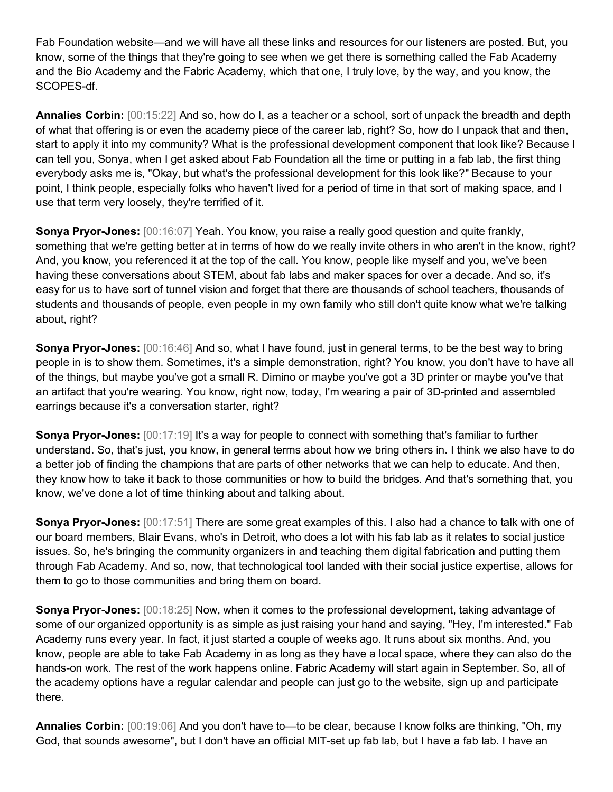Fab Foundation website—and we will have all these links and resources for our listeners are posted. But, you know, some of the things that they're going to see when we get there is something called the Fab Academy and the Bio Academy and the Fabric Academy, which that one, I truly love, by the way, and you know, the SCOPES-df.

**Annalies Corbin:** [00:15:22] And so, how do I, as a teacher or a school, sort of unpack the breadth and depth of what that offering is or even the academy piece of the career lab, right? So, how do I unpack that and then, start to apply it into my community? What is the professional development component that look like? Because I can tell you, Sonya, when I get asked about Fab Foundation all the time or putting in a fab lab, the first thing everybody asks me is, "Okay, but what's the professional development for this look like?" Because to your point, I think people, especially folks who haven't lived for a period of time in that sort of making space, and I use that term very loosely, they're terrified of it.

**Sonya Pryor-Jones:** [00:16:07] Yeah. You know, you raise a really good question and quite frankly, something that we're getting better at in terms of how do we really invite others in who aren't in the know, right? And, you know, you referenced it at the top of the call. You know, people like myself and you, we've been having these conversations about STEM, about fab labs and maker spaces for over a decade. And so, it's easy for us to have sort of tunnel vision and forget that there are thousands of school teachers, thousands of students and thousands of people, even people in my own family who still don't quite know what we're talking about, right?

**Sonya Pryor-Jones:** [00:16:46] And so, what I have found, just in general terms, to be the best way to bring people in is to show them. Sometimes, it's a simple demonstration, right? You know, you don't have to have all of the things, but maybe you've got a small R. Dimino or maybe you've got a 3D printer or maybe you've that an artifact that you're wearing. You know, right now, today, I'm wearing a pair of 3D-printed and assembled earrings because it's a conversation starter, right?

**Sonya Pryor-Jones:** [00:17:19] It's a way for people to connect with something that's familiar to further understand. So, that's just, you know, in general terms about how we bring others in. I think we also have to do a better job of finding the champions that are parts of other networks that we can help to educate. And then, they know how to take it back to those communities or how to build the bridges. And that's something that, you know, we've done a lot of time thinking about and talking about.

**Sonya Pryor-Jones:** [00:17:51] There are some great examples of this. I also had a chance to talk with one of our board members, Blair Evans, who's in Detroit, who does a lot with his fab lab as it relates to social justice issues. So, he's bringing the community organizers in and teaching them digital fabrication and putting them through Fab Academy. And so, now, that technological tool landed with their social justice expertise, allows for them to go to those communities and bring them on board.

**Sonya Pryor-Jones:** [00:18:25] Now, when it comes to the professional development, taking advantage of some of our organized opportunity is as simple as just raising your hand and saying, "Hey, I'm interested." Fab Academy runs every year. In fact, it just started a couple of weeks ago. It runs about six months. And, you know, people are able to take Fab Academy in as long as they have a local space, where they can also do the hands-on work. The rest of the work happens online. Fabric Academy will start again in September. So, all of the academy options have a regular calendar and people can just go to the website, sign up and participate there.

**Annalies Corbin:** [00:19:06] And you don't have to—to be clear, because I know folks are thinking, "Oh, my God, that sounds awesome", but I don't have an official MIT-set up fab lab, but I have a fab lab. I have an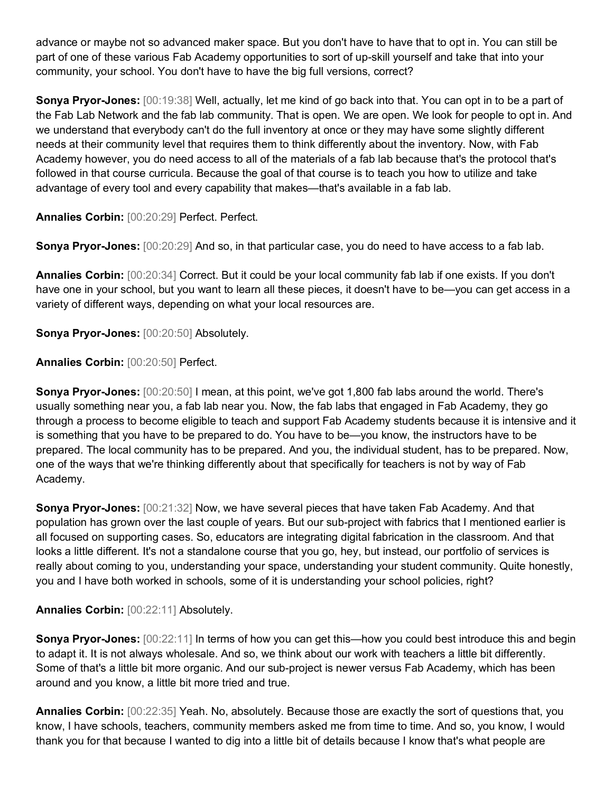advance or maybe not so advanced maker space. But you don't have to have that to opt in. You can still be part of one of these various Fab Academy opportunities to sort of up-skill yourself and take that into your community, your school. You don't have to have the big full versions, correct?

**Sonya Pryor-Jones:** [00:19:38] Well, actually, let me kind of go back into that. You can opt in to be a part of the Fab Lab Network and the fab lab community. That is open. We are open. We look for people to opt in. And we understand that everybody can't do the full inventory at once or they may have some slightly different needs at their community level that requires them to think differently about the inventory. Now, with Fab Academy however, you do need access to all of the materials of a fab lab because that's the protocol that's followed in that course curricula. Because the goal of that course is to teach you how to utilize and take advantage of every tool and every capability that makes—that's available in a fab lab.

**Annalies Corbin:** [00:20:29] Perfect. Perfect.

**Sonya Pryor-Jones:** [00:20:29] And so, in that particular case, you do need to have access to a fab lab.

**Annalies Corbin:** [00:20:34] Correct. But it could be your local community fab lab if one exists. If you don't have one in your school, but you want to learn all these pieces, it doesn't have to be—you can get access in a variety of different ways, depending on what your local resources are.

**Sonya Pryor-Jones:** [00:20:50] Absolutely.

**Annalies Corbin:** [00:20:50] Perfect.

**Sonya Pryor-Jones:** [00:20:50] I mean, at this point, we've got 1,800 fab labs around the world. There's usually something near you, a fab lab near you. Now, the fab labs that engaged in Fab Academy, they go through a process to become eligible to teach and support Fab Academy students because it is intensive and it is something that you have to be prepared to do. You have to be—you know, the instructors have to be prepared. The local community has to be prepared. And you, the individual student, has to be prepared. Now, one of the ways that we're thinking differently about that specifically for teachers is not by way of Fab Academy.

**Sonya Pryor-Jones:** [00:21:32] Now, we have several pieces that have taken Fab Academy. And that population has grown over the last couple of years. But our sub-project with fabrics that I mentioned earlier is all focused on supporting cases. So, educators are integrating digital fabrication in the classroom. And that looks a little different. It's not a standalone course that you go, hey, but instead, our portfolio of services is really about coming to you, understanding your space, understanding your student community. Quite honestly, you and I have both worked in schools, some of it is understanding your school policies, right?

## **Annalies Corbin:** [00:22:11] Absolutely.

**Sonya Pryor-Jones:**  $[00:22:11]$  In terms of how you can get this—how you could best introduce this and begin to adapt it. It is not always wholesale. And so, we think about our work with teachers a little bit differently. Some of that's a little bit more organic. And our sub-project is newer versus Fab Academy, which has been around and you know, a little bit more tried and true.

**Annalies Corbin:** [00:22:35] Yeah. No, absolutely. Because those are exactly the sort of questions that, you know, I have schools, teachers, community members asked me from time to time. And so, you know, I would thank you for that because I wanted to dig into a little bit of details because I know that's what people are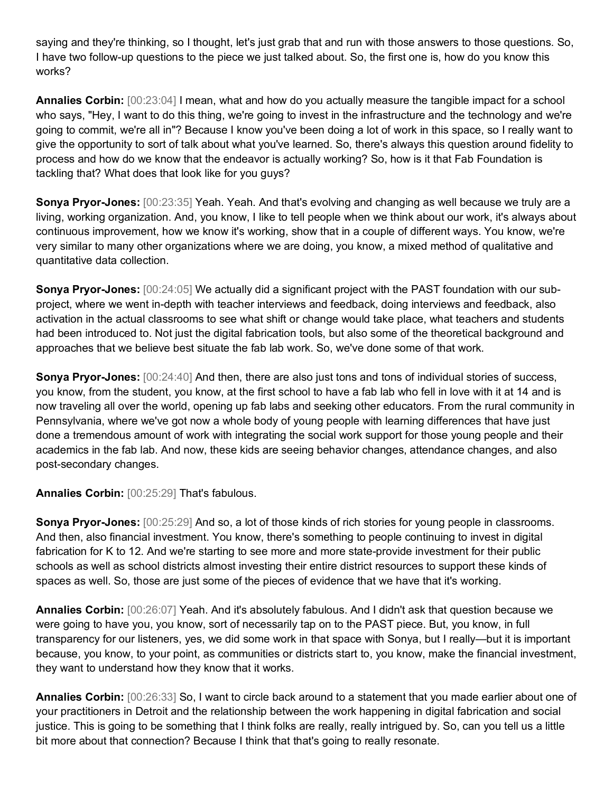saying and they're thinking, so I thought, let's just grab that and run with those answers to those questions. So, I have two follow-up questions to the piece we just talked about. So, the first one is, how do you know this works?

**Annalies Corbin:** [00:23:04] I mean, what and how do you actually measure the tangible impact for a school who says, "Hey, I want to do this thing, we're going to invest in the infrastructure and the technology and we're going to commit, we're all in"? Because I know you've been doing a lot of work in this space, so I really want to give the opportunity to sort of talk about what you've learned. So, there's always this question around fidelity to process and how do we know that the endeavor is actually working? So, how is it that Fab Foundation is tackling that? What does that look like for you guys?

**Sonya Pryor-Jones:** [00:23:35] Yeah. Yeah. And that's evolving and changing as well because we truly are a living, working organization. And, you know, I like to tell people when we think about our work, it's always about continuous improvement, how we know it's working, show that in a couple of different ways. You know, we're very similar to many other organizations where we are doing, you know, a mixed method of qualitative and quantitative data collection.

**Sonya Pryor-Jones:** [00:24:05] We actually did a significant project with the PAST foundation with our subproject, where we went in-depth with teacher interviews and feedback, doing interviews and feedback, also activation in the actual classrooms to see what shift or change would take place, what teachers and students had been introduced to. Not just the digital fabrication tools, but also some of the theoretical background and approaches that we believe best situate the fab lab work. So, we've done some of that work.

**Sonya Pryor-Jones:**  $[00:24:40]$  And then, there are also just tons and tons of individual stories of success, you know, from the student, you know, at the first school to have a fab lab who fell in love with it at 14 and is now traveling all over the world, opening up fab labs and seeking other educators. From the rural community in Pennsylvania, where we've got now a whole body of young people with learning differences that have just done a tremendous amount of work with integrating the social work support for those young people and their academics in the fab lab. And now, these kids are seeing behavior changes, attendance changes, and also post-secondary changes.

**Annalies Corbin:** [00:25:29] That's fabulous.

**Sonya Pryor-Jones:** [00:25:29] And so, a lot of those kinds of rich stories for young people in classrooms. And then, also financial investment. You know, there's something to people continuing to invest in digital fabrication for K to 12. And we're starting to see more and more state-provide investment for their public schools as well as school districts almost investing their entire district resources to support these kinds of spaces as well. So, those are just some of the pieces of evidence that we have that it's working.

**Annalies Corbin:** [00:26:07] Yeah. And it's absolutely fabulous. And I didn't ask that question because we were going to have you, you know, sort of necessarily tap on to the PAST piece. But, you know, in full transparency for our listeners, yes, we did some work in that space with Sonya, but I really—but it is important because, you know, to your point, as communities or districts start to, you know, make the financial investment, they want to understand how they know that it works.

**Annalies Corbin:** [00:26:33] So, I want to circle back around to a statement that you made earlier about one of your practitioners in Detroit and the relationship between the work happening in digital fabrication and social justice. This is going to be something that I think folks are really, really intrigued by. So, can you tell us a little bit more about that connection? Because I think that that's going to really resonate.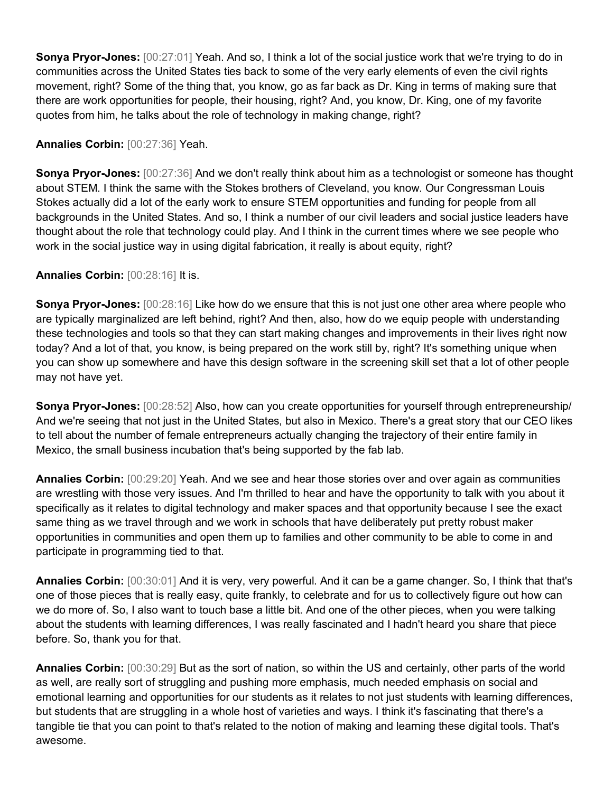**Sonya Pryor-Jones:** [00:27:01] Yeah. And so, I think a lot of the social justice work that we're trying to do in communities across the United States ties back to some of the very early elements of even the civil rights movement, right? Some of the thing that, you know, go as far back as Dr. King in terms of making sure that there are work opportunities for people, their housing, right? And, you know, Dr. King, one of my favorite quotes from him, he talks about the role of technology in making change, right?

## **Annalies Corbin:** [00:27:36] Yeah.

**Sonya Pryor-Jones:** [00:27:36] And we don't really think about him as a technologist or someone has thought about STEM. I think the same with the Stokes brothers of Cleveland, you know. Our Congressman Louis Stokes actually did a lot of the early work to ensure STEM opportunities and funding for people from all backgrounds in the United States. And so, I think a number of our civil leaders and social justice leaders have thought about the role that technology could play. And I think in the current times where we see people who work in the social justice way in using digital fabrication, it really is about equity, right?

## **Annalies Corbin:** [00:28:16] It is.

**Sonya Pryor-Jones:** [00:28:16] Like how do we ensure that this is not just one other area where people who are typically marginalized are left behind, right? And then, also, how do we equip people with understanding these technologies and tools so that they can start making changes and improvements in their lives right now today? And a lot of that, you know, is being prepared on the work still by, right? It's something unique when you can show up somewhere and have this design software in the screening skill set that a lot of other people may not have yet.

**Sonya Pryor-Jones:** [00:28:52] Also, how can you create opportunities for yourself through entrepreneurship/ And we're seeing that not just in the United States, but also in Mexico. There's a great story that our CEO likes to tell about the number of female entrepreneurs actually changing the trajectory of their entire family in Mexico, the small business incubation that's being supported by the fab lab.

**Annalies Corbin:** [00:29:20] Yeah. And we see and hear those stories over and over again as communities are wrestling with those very issues. And I'm thrilled to hear and have the opportunity to talk with you about it specifically as it relates to digital technology and maker spaces and that opportunity because I see the exact same thing as we travel through and we work in schools that have deliberately put pretty robust maker opportunities in communities and open them up to families and other community to be able to come in and participate in programming tied to that.

**Annalies Corbin:** [00:30:01] And it is very, very powerful. And it can be a game changer. So, I think that that's one of those pieces that is really easy, quite frankly, to celebrate and for us to collectively figure out how can we do more of. So, I also want to touch base a little bit. And one of the other pieces, when you were talking about the students with learning differences, I was really fascinated and I hadn't heard you share that piece before. So, thank you for that.

**Annalies Corbin:** [00:30:29] But as the sort of nation, so within the US and certainly, other parts of the world as well, are really sort of struggling and pushing more emphasis, much needed emphasis on social and emotional learning and opportunities for our students as it relates to not just students with learning differences, but students that are struggling in a whole host of varieties and ways. I think it's fascinating that there's a tangible tie that you can point to that's related to the notion of making and learning these digital tools. That's awesome.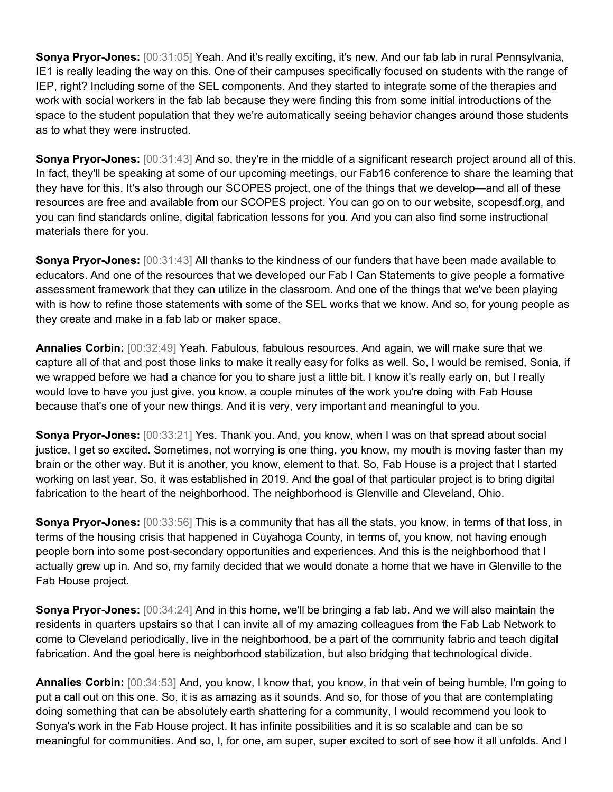**Sonya Pryor-Jones:** [00:31:05] Yeah. And it's really exciting, it's new. And our fab lab in rural Pennsylvania, IE1 is really leading the way on this. One of their campuses specifically focused on students with the range of IEP, right? Including some of the SEL components. And they started to integrate some of the therapies and work with social workers in the fab lab because they were finding this from some initial introductions of the space to the student population that they we're automatically seeing behavior changes around those students as to what they were instructed.

**Sonya Pryor-Jones:** [00:31:43] And so, they're in the middle of a significant research project around all of this. In fact, they'll be speaking at some of our upcoming meetings, our Fab16 conference to share the learning that they have for this. It's also through our SCOPES project, one of the things that we develop—and all of these resources are free and available from our SCOPES project. You can go on to our website, scopesdf.org, and you can find standards online, digital fabrication lessons for you. And you can also find some instructional materials there for you.

**Sonya Pryor-Jones:** [00:31:43] All thanks to the kindness of our funders that have been made available to educators. And one of the resources that we developed our Fab I Can Statements to give people a formative assessment framework that they can utilize in the classroom. And one of the things that we've been playing with is how to refine those statements with some of the SEL works that we know. And so, for young people as they create and make in a fab lab or maker space.

**Annalies Corbin:** [00:32:49] Yeah. Fabulous, fabulous resources. And again, we will make sure that we capture all of that and post those links to make it really easy for folks as well. So, I would be remised, Sonia, if we wrapped before we had a chance for you to share just a little bit. I know it's really early on, but I really would love to have you just give, you know, a couple minutes of the work you're doing with Fab House because that's one of your new things. And it is very, very important and meaningful to you.

**Sonya Pryor-Jones:** [00:33:21] Yes. Thank you. And, you know, when I was on that spread about social justice, I get so excited. Sometimes, not worrying is one thing, you know, my mouth is moving faster than my brain or the other way. But it is another, you know, element to that. So, Fab House is a project that I started working on last year. So, it was established in 2019. And the goal of that particular project is to bring digital fabrication to the heart of the neighborhood. The neighborhood is Glenville and Cleveland, Ohio.

**Sonya Pryor-Jones:** [00:33:56] This is a community that has all the stats, you know, in terms of that loss, in terms of the housing crisis that happened in Cuyahoga County, in terms of, you know, not having enough people born into some post-secondary opportunities and experiences. And this is the neighborhood that I actually grew up in. And so, my family decided that we would donate a home that we have in Glenville to the Fab House project.

**Sonya Pryor-Jones:** [00:34:24] And in this home, we'll be bringing a fab lab. And we will also maintain the residents in quarters upstairs so that I can invite all of my amazing colleagues from the Fab Lab Network to come to Cleveland periodically, live in the neighborhood, be a part of the community fabric and teach digital fabrication. And the goal here is neighborhood stabilization, but also bridging that technological divide.

**Annalies Corbin:** [00:34:53] And, you know, I know that, you know, in that vein of being humble, I'm going to put a call out on this one. So, it is as amazing as it sounds. And so, for those of you that are contemplating doing something that can be absolutely earth shattering for a community, I would recommend you look to Sonya's work in the Fab House project. It has infinite possibilities and it is so scalable and can be so meaningful for communities. And so, I, for one, am super, super excited to sort of see how it all unfolds. And I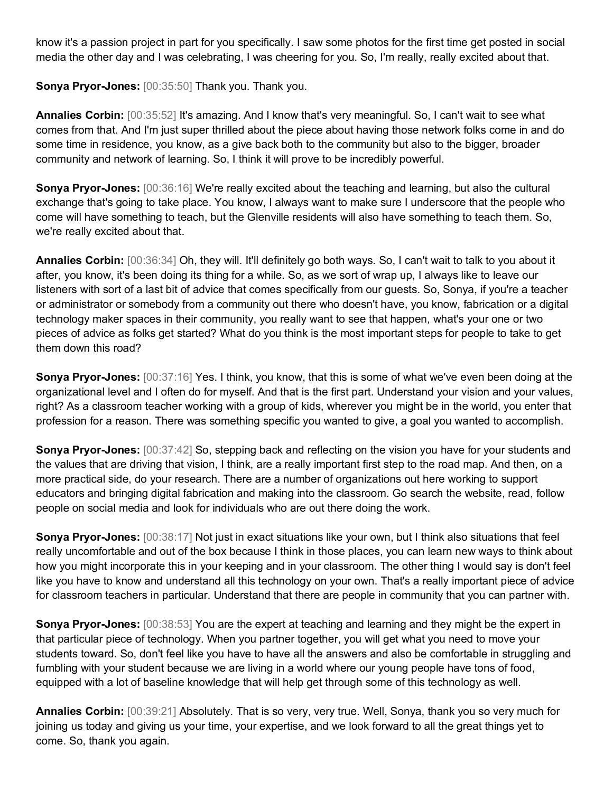know it's a passion project in part for you specifically. I saw some photos for the first time get posted in social media the other day and I was celebrating, I was cheering for you. So, I'm really, really excited about that.

**Sonya Pryor-Jones:** [00:35:50] Thank you. Thank you.

**Annalies Corbin:** [00:35:52] It's amazing. And I know that's very meaningful. So, I can't wait to see what comes from that. And I'm just super thrilled about the piece about having those network folks come in and do some time in residence, you know, as a give back both to the community but also to the bigger, broader community and network of learning. So, I think it will prove to be incredibly powerful.

**Sonya Pryor-Jones:** [00:36:16] We're really excited about the teaching and learning, but also the cultural exchange that's going to take place. You know, I always want to make sure I underscore that the people who come will have something to teach, but the Glenville residents will also have something to teach them. So, we're really excited about that.

**Annalies Corbin:** [00:36:34] Oh, they will. It'll definitely go both ways. So, I can't wait to talk to you about it after, you know, it's been doing its thing for a while. So, as we sort of wrap up, I always like to leave our listeners with sort of a last bit of advice that comes specifically from our guests. So, Sonya, if you're a teacher or administrator or somebody from a community out there who doesn't have, you know, fabrication or a digital technology maker spaces in their community, you really want to see that happen, what's your one or two pieces of advice as folks get started? What do you think is the most important steps for people to take to get them down this road?

**Sonya Pryor-Jones:** [00:37:16] Yes. I think, you know, that this is some of what we've even been doing at the organizational level and I often do for myself. And that is the first part. Understand your vision and your values, right? As a classroom teacher working with a group of kids, wherever you might be in the world, you enter that profession for a reason. There was something specific you wanted to give, a goal you wanted to accomplish.

**Sonya Pryor-Jones:** [00:37:42] So, stepping back and reflecting on the vision you have for your students and the values that are driving that vision, I think, are a really important first step to the road map. And then, on a more practical side, do your research. There are a number of organizations out here working to support educators and bringing digital fabrication and making into the classroom. Go search the website, read, follow people on social media and look for individuals who are out there doing the work.

**Sonya Pryor-Jones:** [00:38:17] Not just in exact situations like your own, but I think also situations that feel really uncomfortable and out of the box because I think in those places, you can learn new ways to think about how you might incorporate this in your keeping and in your classroom. The other thing I would say is don't feel like you have to know and understand all this technology on your own. That's a really important piece of advice for classroom teachers in particular. Understand that there are people in community that you can partner with.

**Sonya Pryor-Jones:** [00:38:53] You are the expert at teaching and learning and they might be the expert in that particular piece of technology. When you partner together, you will get what you need to move your students toward. So, don't feel like you have to have all the answers and also be comfortable in struggling and fumbling with your student because we are living in a world where our young people have tons of food, equipped with a lot of baseline knowledge that will help get through some of this technology as well.

**Annalies Corbin:** [00:39:21] Absolutely. That is so very, very true. Well, Sonya, thank you so very much for joining us today and giving us your time, your expertise, and we look forward to all the great things yet to come. So, thank you again.